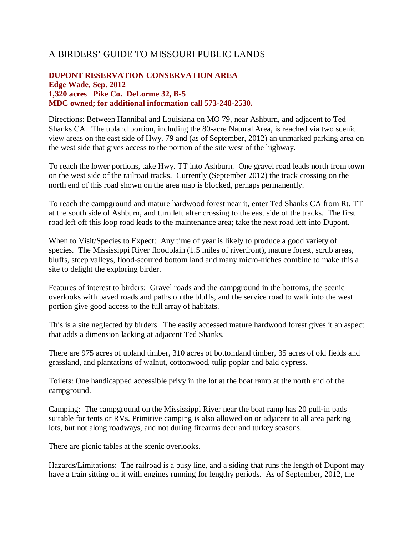## A BIRDERS' GUIDE TO MISSOURI PUBLIC LANDS

## **DUPONT RESERVATION CONSERVATION AREA Edge Wade, Sep. 2012 1,320 acres Pike Co. DeLorme 32, B-5 MDC owned; for additional information call 573-248-2530.**

Directions: Between Hannibal and Louisiana on MO 79, near Ashburn, and adjacent to Ted Shanks CA. The upland portion, including the 80-acre Natural Area, is reached via two scenic view areas on the east side of Hwy. 79 and (as of September, 2012) an unmarked parking area on the west side that gives access to the portion of the site west of the highway.

To reach the lower portions, take Hwy. TT into Ashburn. One gravel road leads north from town on the west side of the railroad tracks. Currently (September 2012) the track crossing on the north end of this road shown on the area map is blocked, perhaps permanently.

To reach the campground and mature hardwood forest near it, enter Ted Shanks CA from Rt. TT at the south side of Ashburn, and turn left after crossing to the east side of the tracks. The first road left off this loop road leads to the maintenance area; take the next road left into Dupont.

When to Visit/Species to Expect: Any time of year is likely to produce a good variety of species. The Mississippi River floodplain (1.5 miles of riverfront), mature forest, scrub areas, bluffs, steep valleys, flood-scoured bottom land and many micro-niches combine to make this a site to delight the exploring birder.

Features of interest to birders: Gravel roads and the campground in the bottoms, the scenic overlooks with paved roads and paths on the bluffs, and the service road to walk into the west portion give good access to the full array of habitats.

This is a site neglected by birders. The easily accessed mature hardwood forest gives it an aspect that adds a dimension lacking at adjacent Ted Shanks.

There are 975 acres of upland timber, 310 acres of bottomland timber, 35 acres of old fields and grassland, and plantations of walnut, cottonwood, tulip poplar and bald cypress.

Toilets: One handicapped accessible privy in the lot at the boat ramp at the north end of the campground.

Camping: The campground on the Mississippi River near the boat ramp has 20 pull-in pads suitable for tents or RVs. Primitive camping is also allowed on or adjacent to all area parking lots, but not along roadways, and not during firearms deer and turkey seasons.

There are picnic tables at the scenic overlooks.

Hazards/Limitations: The railroad is a busy line, and a siding that runs the length of Dupont may have a train sitting on it with engines running for lengthy periods. As of September, 2012, the